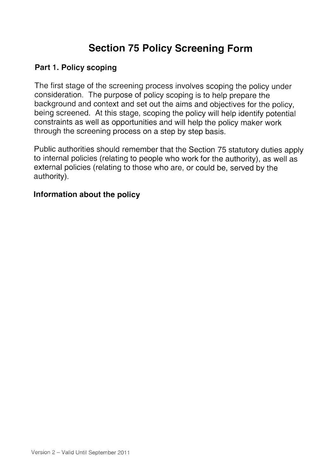## Section 75 Policy Screening Form

#### Part 1. Policy scoping

The first stage of the screening process involves scoping the policy under consideration. The purpose of policy scoping is to help prepare the background and context and set out the aims and objectives for the policy, being screened. At this stage, scoping the policy will help identify potential constraints as well as opportunities and will help the policy maker work through the screening process on <sup>a</sup> step by step basis.

Public authorities should remember that the Section <sup>75</sup> statutory duties apply to internal policies (relating to people who work for the authority), as well as external policies (relating to those who are, or could be, served by the authority).

#### Information about the policy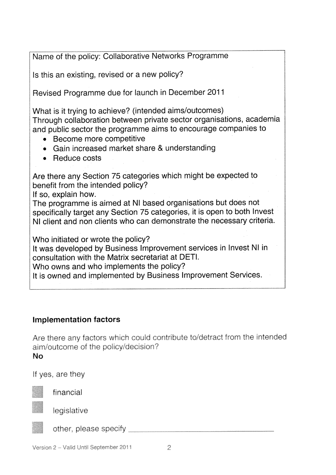Name of the policy: Collaborative Networks Programme

Is this an existing, revised or <sup>a</sup> new policy?

Revised Programme due for launch in December <sup>2011</sup>

What is it trying to achieve? (intended aims/outcomes) Through collaboration between private sector organisations, academia and public sector the programme aims to encourage companies to

- Become more competitive
- Gain increased market share & understanding
- Reduce costs

Are there any Section <sup>75</sup> categories which might be expected to benefit from the intended policy?

If so, explain how.

The programme is aimed at NI based organisations but does not specifically target any Section <sup>75</sup> categories, it is open to both Invest NI client and non clients who can demonstrate the necessary criteria.

Who initiated or wrote the policy?

It was developed by Business Improvement services in Invest NI in consultation with the Matrix secretariat at DETI.

Who owns and who implements the policy?

It is owned and implemented by Business Improvement Services.

## Implementation factors

Are there any factors which could contribute to/detract from the intended aim/outcome of the policy/decision?

No

If yes, are they



financial

legislative



other, please specify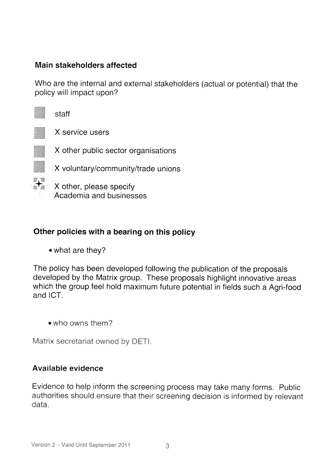### Main stakeholders affected

Who are the internal and external stakeholders (actual or potential) that the policy will impact upon?



X service users

X other public sector organisations

<sup>X</sup> voluntary/community/trade unions

 $\mathbb{R}$  X other, please specify Academia and businesses

## Other policies with <sup>a</sup> bearing on this policy

• what are they?

The policy has been developed following the publication of the proposals developed by the Matrix group. These proposals highlight innovative areas which the group feel hold maximum future potential in fields such <sup>a</sup> Agri-food and ICT.

•who owns them?

Matrix secretariat owned by DETI,

#### Available evidence

Evidence to help inform the screening process may take many forms. Public authorities should ensure that their screening decision is informed by relevant data.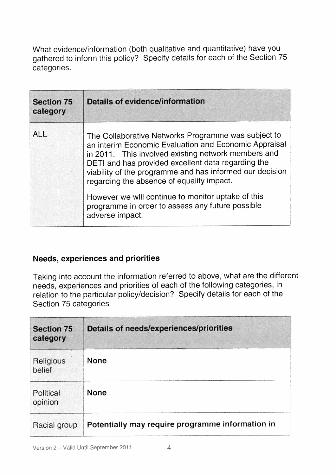What evidence/information (both qualitative and quantitative) have you gathered to inform this policy? Specify details for each of the Section 75 categories.

| <b>Section 75</b><br>category | <b>Details of evidence/information</b>                                                                                                                                                                                                                                                                                                                                                                                                                          |
|-------------------------------|-----------------------------------------------------------------------------------------------------------------------------------------------------------------------------------------------------------------------------------------------------------------------------------------------------------------------------------------------------------------------------------------------------------------------------------------------------------------|
| <b>ALL</b>                    | The Collaborative Networks Programme was subject to<br>an interim Economic Evaluation and Economic Appraisal<br>in 2011. This involved existing network members and<br>DETI and has provided excellent data regarding the<br>viability of the programme and has informed our decision<br>regarding the absence of equality impact.<br>However we will continue to monitor uptake of this<br>programme in order to assess any future possible<br>adverse impact. |

#### Needs, experiences and priorities

Taking into account the information referred to above, what are the different needs, experiences and priorities of each of the following categories, in relation to the particular policy/decision? Specify details for each of the Section 75 categories

| <b>Section 75</b><br>category | Details of needs/experiences/priorities          |
|-------------------------------|--------------------------------------------------|
| Religious<br>belief           | <b>None</b>                                      |
| Political<br>opinion          | <b>None</b>                                      |
| Racial group                  | Potentially may require programme information in |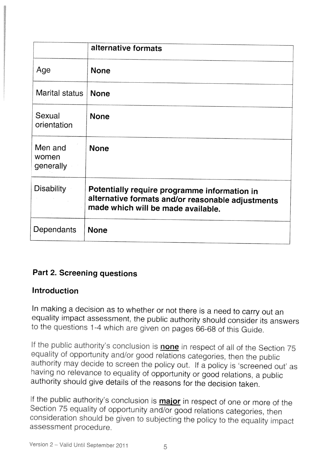|                               | alternative formats                                                                                                                     |
|-------------------------------|-----------------------------------------------------------------------------------------------------------------------------------------|
| Age                           | <b>None</b>                                                                                                                             |
| Marital status                | <b>None</b>                                                                                                                             |
| Sexual<br>orientation         | <b>None</b>                                                                                                                             |
| Men and<br>women<br>generally | <b>None</b>                                                                                                                             |
| <b>Disability</b>             | Potentially require programme information in<br>alternative formats and/or reasonable adjustments<br>made which will be made available. |
| Dependants                    | <b>None</b>                                                                                                                             |

## Part 2. Screening questions

## Introduction

In making <sup>a</sup> decision as to whether or not there is <sup>a</sup> need to carry out an equality impact assessment, the public authority should consider its answers to the questions <sup>I</sup> -4 which are <sup>g</sup>iven on pages 66-68 of this Guide.

If the public authority's conclusion is **none** in respect of all of the Section 75 equality of opportunity and/or good relations categories, then the public authority may decide to screen the policy out. If a policy is 'screened out' as having no relevance to equality of opportunity or good relations, <sup>a</sup> public authority should <sup>g</sup>ive details of the reasons for the decision taken.

If the public authority's conclusion is **major** in respect of one or more of the Section 75 equality of opportunity and/or good relations categories, then consideration should be given to subjecting the policy to the equality impact assessment procedure.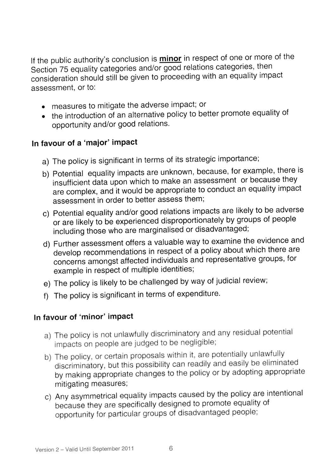If the public authority's conclusion is **minor** in respect of one or more of the Section <sup>75</sup> equality categories and/or goo<sup>d</sup> relations categories, then consideration should still be <sup>g</sup>iven to proceeding with an equality impact assessment, or to:

- measures to mitigate the adverse impact; or
- the introduction of an altemative policy to better promote equality of opportunity and/or goo<sup>d</sup> relations.

## in favour of <sup>a</sup> 'major' Impact

- a) The policy is significant in terms of its strategic importance;
- b) Potential equality impacts are unknown, because, for example, there is insufficient data upon which to make an assessment or because they are complex, and it would be appropriate to conduct an equality impact assessment in order to better assess them;
- c) Potential equality and/or goo<sup>d</sup> relations impacts are likely to be adverse or are likely to be experienced disproportionately by groups of people including those who are marginalised or disadvantaged;
- d) Further assessment offers <sup>a</sup> valuable way to examine the evidence and develop recommendations in respec<sup>t</sup> of <sup>a</sup> policy about which there are concerns amongst affected individuals and representative groups, for example in respec<sup>t</sup> of multiple identities;
- e) The policy is likely to be challenged by way of judicial review;
- f) The policy is significant in terms of expenditure.

## in favour of 'minor' Impact

- a) The policy is not unlawfully discriminatory and any residual potential impacts on people are judged to be negligible;
- b) The policy, or certain proposals within it, are potentially unlawfully discriminatory, but this possibility can readily and easily be eliminated by making appropriate changes to the policy or by adopting appropriate mitigating measures;
- c) Any asymmetrical equality impacts caused by the policy are intentional because they are specifically designed to promote equality of opportunity for particular groups of disadvantaged people;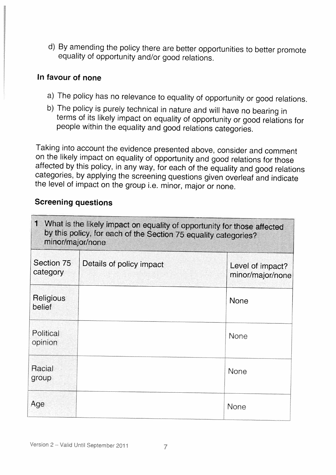d) By amending the policy there are better opportunities to better promote equality of opportunity and/or good relations.

#### In favour of none

- a) The policy has no relevance to equality of opportunity or good relations.
- b) The policy is purely technical in nature and will have no bearing in terms of its likely impact on equality of opportunity or good relations for people within the equality and good relations categories.

Taking into account the evidence presented above, consider and comment on the likely impact on equality of opportunity and good relations for those affected by this policy, in any way, for each of the equality and good relations categories, by applying the screening questions <sup>g</sup>iven overleaf and indicate the level of impact on the group i.e. minor, major or none.

## Screening questions

| $\mathbf{1}$<br>What is the likely impact on equality of opportunity for those affected<br>by this policy, for each of the Section 75 equality categories?<br>minor/major/none |                          |                                      |
|--------------------------------------------------------------------------------------------------------------------------------------------------------------------------------|--------------------------|--------------------------------------|
| Section 75<br>category                                                                                                                                                         | Details of policy impact | Level of impact?<br>minor/major/none |
| Religious<br>belief                                                                                                                                                            |                          | <b>None</b>                          |
| Political<br>opinion                                                                                                                                                           |                          | None                                 |
| Racial<br>group                                                                                                                                                                |                          | None                                 |
| Age                                                                                                                                                                            |                          | None                                 |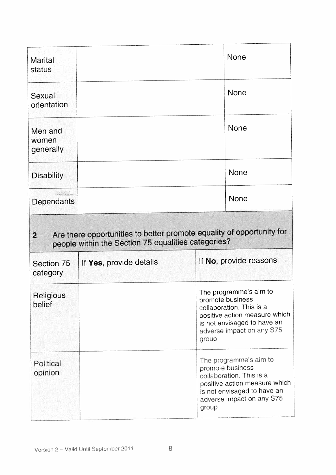| <b>Marital</b><br>status      |                                                     | None                                                                                                                                                                         |
|-------------------------------|-----------------------------------------------------|------------------------------------------------------------------------------------------------------------------------------------------------------------------------------|
| Sexual<br>orientation         |                                                     | None                                                                                                                                                                         |
| Men and<br>women<br>generally |                                                     | None                                                                                                                                                                         |
| <b>Disability</b>             |                                                     | <b>None</b>                                                                                                                                                                  |
| Dependants                    |                                                     | None                                                                                                                                                                         |
| $\mathbf{2}$                  | people within the Section 75 equalities categories? | Are there opportunities to better promote equality of opportunity for                                                                                                        |
| Section 75<br>category        | If Yes, provide details                             | If No, provide reasons                                                                                                                                                       |
| Religious<br>belief           |                                                     | The programme's aim to<br>promote business<br>collaboration. This is a<br>positive action measure which<br>is not envisaged to have an<br>adverse impact on any S75<br>group |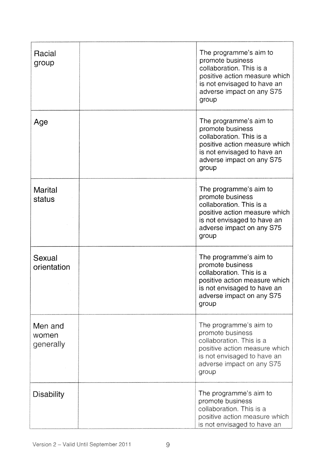| Racial<br>group               | The programme's aim to<br>promote business<br>collaboration. This is a<br>positive action measure which<br>is not envisaged to have an<br>adverse impact on any S75<br>group |
|-------------------------------|------------------------------------------------------------------------------------------------------------------------------------------------------------------------------|
| Age                           | The programme's aim to<br>promote business<br>collaboration. This is a<br>positive action measure which<br>is not envisaged to have an<br>adverse impact on any S75<br>group |
| <b>Marital</b><br>status      | The programme's aim to<br>promote business<br>collaboration. This is a<br>positive action measure which<br>is not envisaged to have an<br>adverse impact on any S75<br>group |
| Sexual<br>orientation         | The programme's aim to<br>promote business<br>collaboration. This is a<br>positive action measure which<br>is not envisaged to have an<br>adverse impact on any S75<br>group |
| Men and<br>women<br>generally | The programme's aim to<br>promote business<br>collaboration. This is a<br>positive action measure which<br>is not envisaged to have an<br>adverse impact on any S75<br>group |
| <b>Disability</b>             | The programme's aim to<br>promote business<br>collaboration. This is a<br>positive action measure which<br>is not envisaged to have an                                       |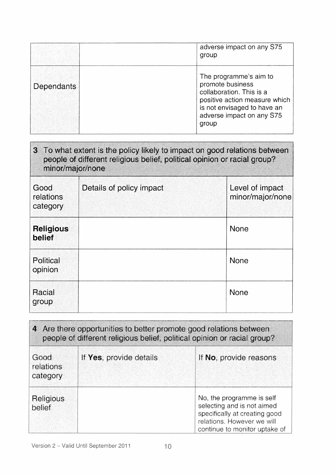|            | adverse impact on any S75<br>group                                                                                                                                           |
|------------|------------------------------------------------------------------------------------------------------------------------------------------------------------------------------|
| Dependants | The programme's aim to<br>promote business<br>collaboration. This is a<br>positive action measure which<br>is not envisaged to have an<br>adverse impact on any S75<br>group |

| 3 To what extent is the policy likely to impact on good relations between<br>people of different religious belief, political opinion or racial group?<br>minor/major/none |                          |                                     |
|---------------------------------------------------------------------------------------------------------------------------------------------------------------------------|--------------------------|-------------------------------------|
| Good<br>relations<br>category                                                                                                                                             | Details of policy impact | Level of impact<br>minor/major/none |
| <b>Religious</b><br>belief                                                                                                                                                |                          | <b>None</b>                         |
| Political<br>opinion                                                                                                                                                      |                          | <b>None</b>                         |
| Racial<br>group                                                                                                                                                           |                          | None                                |

| 4 Are there opportunities to better promote good relations between<br>people of different religious belief, political opinion or racial group? |                         |                                                                                                                                                         |
|------------------------------------------------------------------------------------------------------------------------------------------------|-------------------------|---------------------------------------------------------------------------------------------------------------------------------------------------------|
| Good<br>relations<br>category.                                                                                                                 | If Yes, provide details | If No, provide reasons                                                                                                                                  |
| Religious<br>belief                                                                                                                            |                         | No, the programme is self<br>selecting and is not aimed<br>specifically at creating good<br>relations. However we will<br>continue to monitor uptake of |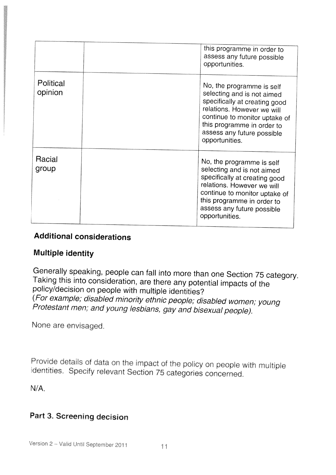|                      | this programme in order to<br>assess any future possible<br>opportunities.                                                                                                                                                            |
|----------------------|---------------------------------------------------------------------------------------------------------------------------------------------------------------------------------------------------------------------------------------|
| Political<br>opinion | No, the programme is self<br>selecting and is not aimed<br>specifically at creating good<br>relations. However we will<br>continue to monitor uptake of<br>this programme in order to<br>assess any future possible<br>opportunities. |
| Racial<br>group      | No, the programme is self<br>selecting and is not aimed<br>specifically at creating good<br>relations. However we will<br>continue to monitor uptake of<br>this programme in order to<br>assess any future possible<br>opportunities. |

## Additional considerations

## Multiple identity

Generally speaking, people can fall into more than one Section <sup>75</sup> category. Taking this into consideration, are there any potential impacts of the policy/decision on people with multiple identities? (For example; disabled minority ethnic people; disabled women; young Protestant men: and young lesbians, gay and bisexual people).

None are envisaged.

Provide details of data on the impact of the policy on people with multiple identities. Specify relevant Section 75 categories concerned.

N/A,

## Part 3. Screening decision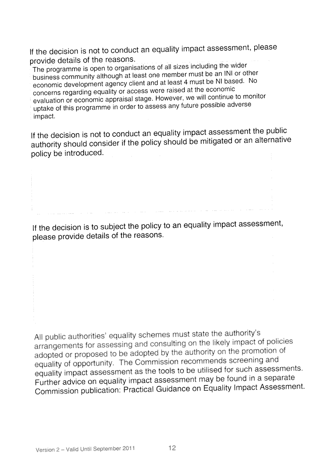If the decision is not to conduct an equality impact assessment, <sup>p</sup>lease provide details of the reasons.

The programme is open to organisations of all sizes including the wider business community although at least one member must be an INI or other economic development agency client and at least <sup>4</sup> must be NI based. No concerns regarding equality or access were raised at the economic evaluation or economic appraisal stage. However, we will continue to monitor uptake of this programme in order to assess any future possible adverse impact.

If the decision is not to conduct an equality impact assessment the public authority should consider if the policy should be mitigated or an alternative policy be introduced.

If the decision is to subject the policy to an equality impact assessment, <sup>p</sup>lease provide details of the reasons.

All public authorities' equality schemes must state the authority's arrangements for assessing and consulting on the likely impact of policies adopted or propose<sup>d</sup> to be adopted by the authority on the promotion of equality of opportunity. The Commission recommends screening and equality impact assessment as the tools to be utilised for such assessments. Further advice on equality impact assessment may be found in <sup>a</sup> separate Commission publication: Practical Guidance on Equality Impact Assessment.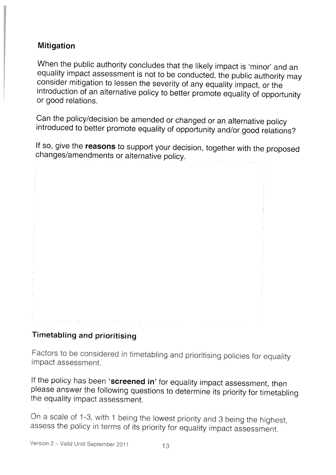## Mitigation

When the public authority concludes that the likely impact is 'minor' and an equality impact assessment is not to be conducted, the public authority may consider mitigation to lessen the severity of any equality impact, or the introduction of an alternative policy to better promote equality of opportunity or good relations.

Can the policy/decision be amended or changed or an alternative policy introduced to better promote equality of opportunity and/or good relations?

If so, give the reasons to support your decision, together with the proposed changes/amendments or alternative policy.

# **Timetabling and prioritising**

Factors to be considered in timetabling and prioritising policies for equality impact assessment

If the policy has been 'screened in' for equality impact assessment, then <sup>p</sup>lease answer the following questions to determine its priority for timetabling the equality impact assessment

On a scale of 1-3, with 1 being the lowest priority and 3 being the highest, assess the policy in terms of its priority for equality impact assessment.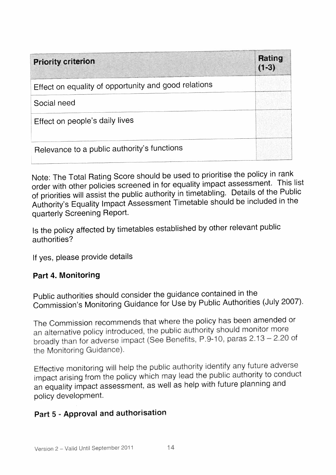| <b>Priority criterion</b>                            | Rating<br>$(1-3)$ |
|------------------------------------------------------|-------------------|
| Effect on equality of opportunity and good relations |                   |
| Social need                                          |                   |
| Effect on people's daily lives                       |                   |
| Relevance to a public authority's functions          |                   |

Note: The Total Rating Score should be used to prioritise the policy in rank order with other policies screened in for equality impact assessment. This list of priorities will assist the public authority in timetabling. Details of the Public Authority's Equality Impact Assessment Timetable should be included in the quarterly Screening Report.

Is the policy affected by timetables established by other relevant public authorities?

If yes, <sup>p</sup>lease provide details

#### Part 4. Monitoring

Public authorities should consider the guidance contained in the Commission's Monitoring Guidance for Use by Public Authorities (July 2007).

The Commission recommends that where the policy has been amended or an alternative policy introduced, the public authority should monitor more broadly than for adverse impact (See Benefits, P.9-10, paras 2.13 - 2.20 of the Monitoring Guidance)

Effective monitoring will help the public authority identify any future adverse impact arising from the policy which may lead the public authority to conduct an equality impact assessment, as well as help with future <sup>p</sup>lanning and policy development.

## Part 5 - Approval and authorisation